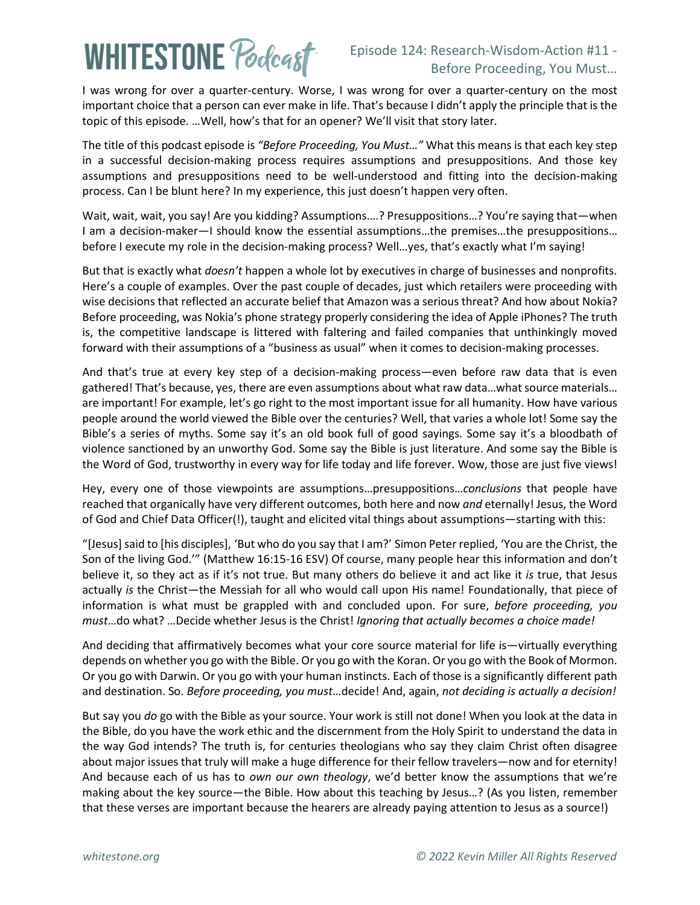## **WHITESTONE Poclcast**

I was wrong for over a quarter-century. Worse, I was wrong for over a quarter-century on the most important choice that a person can ever make in life. That's because I didn't apply the principle that is the topic of this episode. …Well, how's that for an opener? We'll visit that story later.

The title of this podcast episode is *"Before Proceeding, You Must…"* What this means is that each key step in a successful decision-making process requires assumptions and presuppositions. And those key assumptions and presuppositions need to be well-understood and fitting into the decision-making process. Can I be blunt here? In my experience, this just doesn't happen very often.

Wait, wait, wait, you say! Are you kidding? Assumptions….? Presuppositions…? You're saying that—when I am a decision-maker—I should know the essential assumptions…the premises…the presuppositions… before I execute my role in the decision-making process? Well…yes, that's exactly what I'm saying!

But that is exactly what *doesn't* happen a whole lot by executives in charge of businesses and nonprofits. Here's a couple of examples. Over the past couple of decades, just which retailers were proceeding with wise decisions that reflected an accurate belief that Amazon was a serious threat? And how about Nokia? Before proceeding, was Nokia's phone strategy properly considering the idea of Apple iPhones? The truth is, the competitive landscape is littered with faltering and failed companies that unthinkingly moved forward with their assumptions of a "business as usual" when it comes to decision-making processes.

And that's true at every key step of a decision-making process—even before raw data that is even gathered! That's because, yes, there are even assumptions about what raw data…what source materials… are important! For example, let's go right to the most important issue for all humanity. How have various people around the world viewed the Bible over the centuries? Well, that varies a whole lot! Some say the Bible's a series of myths. Some say it's an old book full of good sayings. Some say it's a bloodbath of violence sanctioned by an unworthy God. Some say the Bible is just literature. And some say the Bible is the Word of God, trustworthy in every way for life today and life forever. Wow, those are just five views!

Hey, every one of those viewpoints are assumptions…presuppositions…*conclusions* that people have reached that organically have very different outcomes, both here and now *and* eternally! Jesus, the Word of God and Chief Data Officer(!), taught and elicited vital things about assumptions—starting with this:

"[Jesus] said to [his disciples], 'But who do you say that I am?' Simon Peter replied, 'You are the Christ, the Son of the living God.'" (Matthew 16:15-16 ESV) Of course, many people hear this information and don't believe it, so they act as if it's not true. But many others do believe it and act like it *is* true, that Jesus actually *is* the Christ—the Messiah for all who would call upon His name! Foundationally, that piece of information is what must be grappled with and concluded upon. For sure, *before proceeding, you must*…do what? …Decide whether Jesus is the Christ! *Ignoring that actually becomes a choice made!*

And deciding that affirmatively becomes what your core source material for life is—virtually everything depends on whether you go with the Bible. Or you go with the Koran. Or you go with the Book of Mormon. Or you go with Darwin. Or you go with your human instincts. Each of those is a significantly different path and destination. So. *Before proceeding, you must*…decide! And, again, *not deciding is actually a decision!*

But say you *do* go with the Bible as your source. Your work is still not done! When you look at the data in the Bible, do you have the work ethic and the discernment from the Holy Spirit to understand the data in the way God intends? The truth is, for centuries theologians who say they claim Christ often disagree about major issues that truly will make a huge difference for their fellow travelers—now and for eternity! And because each of us has to *own our own theology*, we'd better know the assumptions that we're making about the key source—the Bible. How about this teaching by Jesus…? (As you listen, remember that these verses are important because the hearers are already paying attention to Jesus as a source!)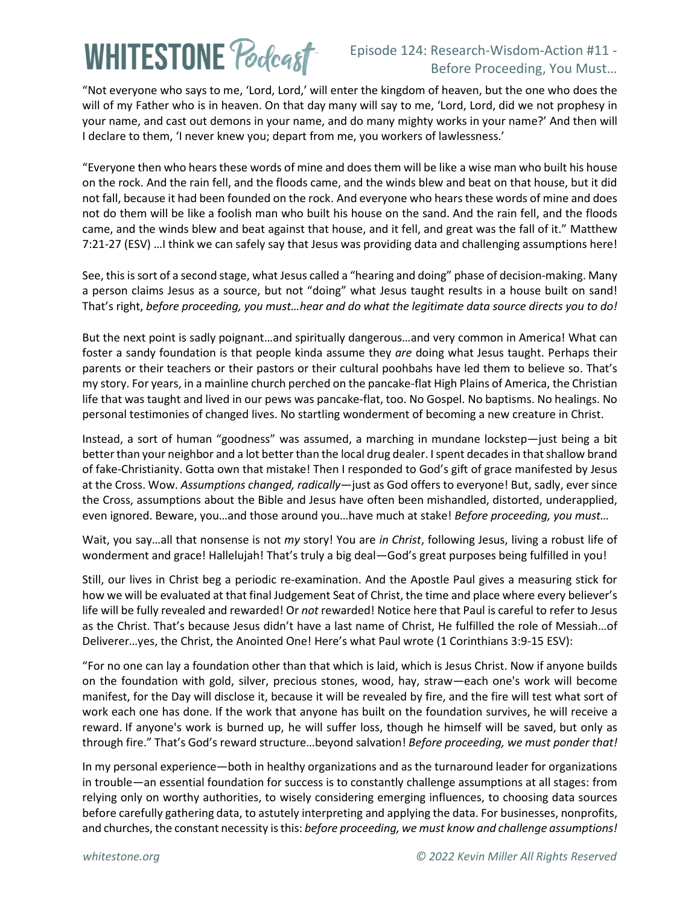## **WHITESTONE Pocleast**

## Episode 124: Research-Wisdom-Action #11 - Before Proceeding, You Must…

"Not everyone who says to me, 'Lord, Lord,' will enter the kingdom of heaven, but the one who does the will of my Father who is in heaven. On that day many will say to me, 'Lord, Lord, did we not prophesy in your name, and cast out demons in your name, and do many mighty works in your name?' And then will I declare to them, 'I never knew you; depart from me, you workers of lawlessness.'

"Everyone then who hears these words of mine and does them will be like a wise man who built his house on the rock. And the rain fell, and the floods came, and the winds blew and beat on that house, but it did not fall, because it had been founded on the rock. And everyone who hears these words of mine and does not do them will be like a foolish man who built his house on the sand. And the rain fell, and the floods came, and the winds blew and beat against that house, and it fell, and great was the fall of it." Matthew 7:21-27 (ESV) …I think we can safely say that Jesus was providing data and challenging assumptions here!

See, this is sort of a second stage, what Jesus called a "hearing and doing" phase of decision-making. Many a person claims Jesus as a source, but not "doing" what Jesus taught results in a house built on sand! That's right, *before proceeding, you must…hear and do what the legitimate data source directs you to do!*

But the next point is sadly poignant…and spiritually dangerous…and very common in America! What can foster a sandy foundation is that people kinda assume they *are* doing what Jesus taught. Perhaps their parents or their teachers or their pastors or their cultural poohbahs have led them to believe so. That's my story. For years, in a mainline church perched on the pancake-flat High Plains of America, the Christian life that was taught and lived in our pews was pancake-flat, too. No Gospel. No baptisms. No healings. No personal testimonies of changed lives. No startling wonderment of becoming a new creature in Christ.

Instead, a sort of human "goodness" was assumed, a marching in mundane lockstep—just being a bit better than your neighbor and a lot better than the local drug dealer. I spent decades in that shallow brand of fake-Christianity. Gotta own that mistake! Then I responded to God's gift of grace manifested by Jesus at the Cross. Wow. *Assumptions changed, radically*—just as God offers to everyone! But, sadly, ever since the Cross, assumptions about the Bible and Jesus have often been mishandled, distorted, underapplied, even ignored. Beware, you…and those around you…have much at stake! *Before proceeding, you must…*

Wait, you say…all that nonsense is not *my* story! You are *in Christ*, following Jesus, living a robust life of wonderment and grace! Hallelujah! That's truly a big deal—God's great purposes being fulfilled in you!

Still, our lives in Christ beg a periodic re-examination. And the Apostle Paul gives a measuring stick for how we will be evaluated at that final Judgement Seat of Christ, the time and place where every believer's life will be fully revealed and rewarded! Or *not* rewarded! Notice here that Paul is careful to refer to Jesus as the Christ. That's because Jesus didn't have a last name of Christ, He fulfilled the role of Messiah…of Deliverer…yes, the Christ, the Anointed One! Here's what Paul wrote (1 Corinthians 3:9-15 ESV):

"For no one can lay a foundation other than that which is laid, which is Jesus Christ. Now if anyone builds on the foundation with gold, silver, precious stones, wood, hay, straw—each one's work will become manifest, for the Day will disclose it, because it will be revealed by fire, and the fire will test what sort of work each one has done. If the work that anyone has built on the foundation survives, he will receive a reward. If anyone's work is burned up, he will suffer loss, though he himself will be saved, but only as through fire." That's God's reward structure…beyond salvation! *Before proceeding, we must ponder that!*

In my personal experience—both in healthy organizations and as the turnaround leader for organizations in trouble—an essential foundation for success is to constantly challenge assumptions at all stages: from relying only on worthy authorities, to wisely considering emerging influences, to choosing data sources before carefully gathering data, to astutely interpreting and applying the data. For businesses, nonprofits, and churches, the constant necessity is this: *before proceeding, we must know and challenge assumptions!*